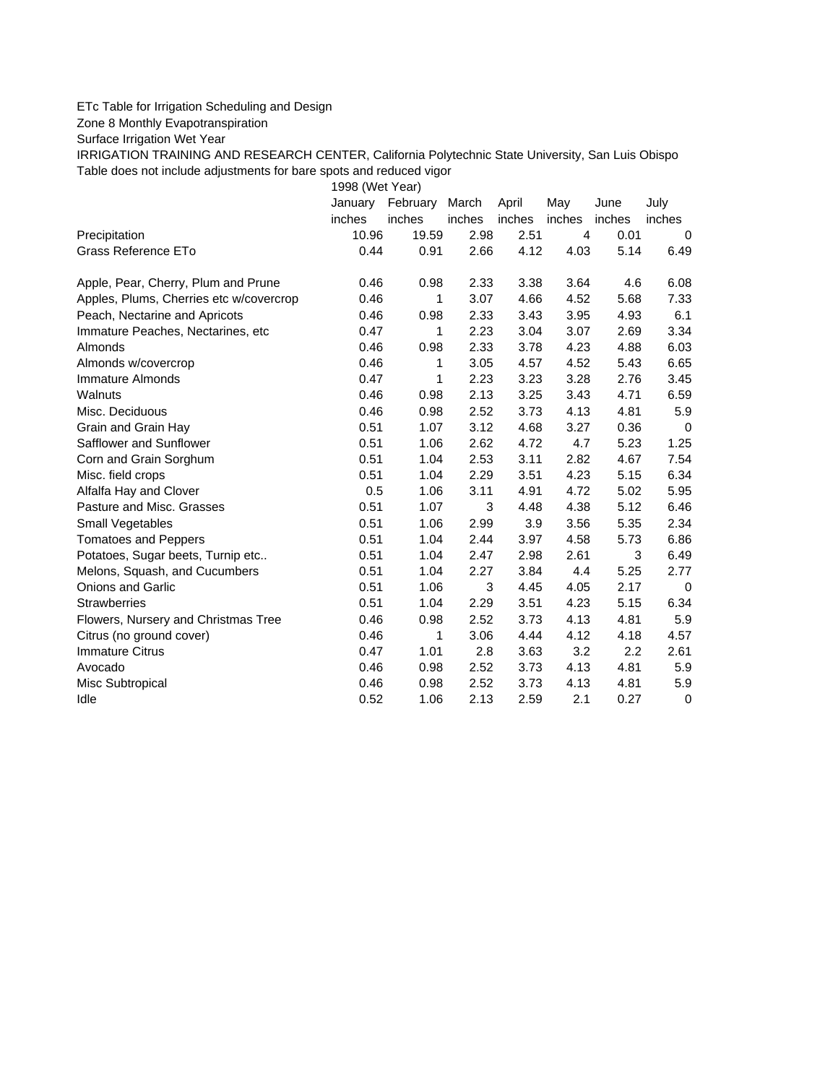## ETc Table for Irrigation Scheduling and Design

Zone 8 Monthly Evapotranspiration

Surface Irrigation Wet Year

IRRIGATION TRAINING AND RESEARCH CENTER, California Polytechnic State University, San Luis Obispo Table does not include adjustments for bare spots and reduced vigor

1998 (Wet Year)

|                                         | January | February | March  | April  | May    | June   | July   |
|-----------------------------------------|---------|----------|--------|--------|--------|--------|--------|
|                                         | inches  | inches   | inches | inches | inches | inches | inches |
| Precipitation                           | 10.96   | 19.59    | 2.98   | 2.51   | 4      | 0.01   | 0      |
| Grass Reference ETo                     | 0.44    | 0.91     | 2.66   | 4.12   | 4.03   | 5.14   | 6.49   |
| Apple, Pear, Cherry, Plum and Prune     | 0.46    | 0.98     | 2.33   | 3.38   | 3.64   | 4.6    | 6.08   |
| Apples, Plums, Cherries etc w/covercrop | 0.46    | 1        | 3.07   | 4.66   | 4.52   | 5.68   | 7.33   |
| Peach, Nectarine and Apricots           | 0.46    | 0.98     | 2.33   | 3.43   | 3.95   | 4.93   | 6.1    |
| Immature Peaches, Nectarines, etc       | 0.47    | 1        | 2.23   | 3.04   | 3.07   | 2.69   | 3.34   |
| Almonds                                 | 0.46    | 0.98     | 2.33   | 3.78   | 4.23   | 4.88   | 6.03   |
| Almonds w/covercrop                     | 0.46    | 1        | 3.05   | 4.57   | 4.52   | 5.43   | 6.65   |
| Immature Almonds                        | 0.47    | 1        | 2.23   | 3.23   | 3.28   | 2.76   | 3.45   |
| Walnuts                                 | 0.46    | 0.98     | 2.13   | 3.25   | 3.43   | 4.71   | 6.59   |
| Misc. Deciduous                         | 0.46    | 0.98     | 2.52   | 3.73   | 4.13   | 4.81   | 5.9    |
| Grain and Grain Hay                     | 0.51    | 1.07     | 3.12   | 4.68   | 3.27   | 0.36   | 0      |
| Safflower and Sunflower                 | 0.51    | 1.06     | 2.62   | 4.72   | 4.7    | 5.23   | 1.25   |
| Corn and Grain Sorghum                  | 0.51    | 1.04     | 2.53   | 3.11   | 2.82   | 4.67   | 7.54   |
| Misc. field crops                       | 0.51    | 1.04     | 2.29   | 3.51   | 4.23   | 5.15   | 6.34   |
| Alfalfa Hay and Clover                  | 0.5     | 1.06     | 3.11   | 4.91   | 4.72   | 5.02   | 5.95   |
| Pasture and Misc. Grasses               | 0.51    | 1.07     | 3      | 4.48   | 4.38   | 5.12   | 6.46   |
| Small Vegetables                        | 0.51    | 1.06     | 2.99   | 3.9    | 3.56   | 5.35   | 2.34   |
| <b>Tomatoes and Peppers</b>             | 0.51    | 1.04     | 2.44   | 3.97   | 4.58   | 5.73   | 6.86   |
| Potatoes, Sugar beets, Turnip etc       | 0.51    | 1.04     | 2.47   | 2.98   | 2.61   | 3      | 6.49   |
| Melons, Squash, and Cucumbers           | 0.51    | 1.04     | 2.27   | 3.84   | 4.4    | 5.25   | 2.77   |
| Onions and Garlic                       | 0.51    | 1.06     | 3      | 4.45   | 4.05   | 2.17   | 0      |
| <b>Strawberries</b>                     | 0.51    | 1.04     | 2.29   | 3.51   | 4.23   | 5.15   | 6.34   |
| Flowers, Nursery and Christmas Tree     | 0.46    | 0.98     | 2.52   | 3.73   | 4.13   | 4.81   | 5.9    |
| Citrus (no ground cover)                | 0.46    | 1        | 3.06   | 4.44   | 4.12   | 4.18   | 4.57   |
| <b>Immature Citrus</b>                  | 0.47    | 1.01     | 2.8    | 3.63   | 3.2    | 2.2    | 2.61   |
| Avocado                                 | 0.46    | 0.98     | 2.52   | 3.73   | 4.13   | 4.81   | 5.9    |
| Misc Subtropical                        | 0.46    | 0.98     | 2.52   | 3.73   | 4.13   | 4.81   | 5.9    |
| Idle                                    | 0.52    | 1.06     | 2.13   | 2.59   | 2.1    | 0.27   | 0      |